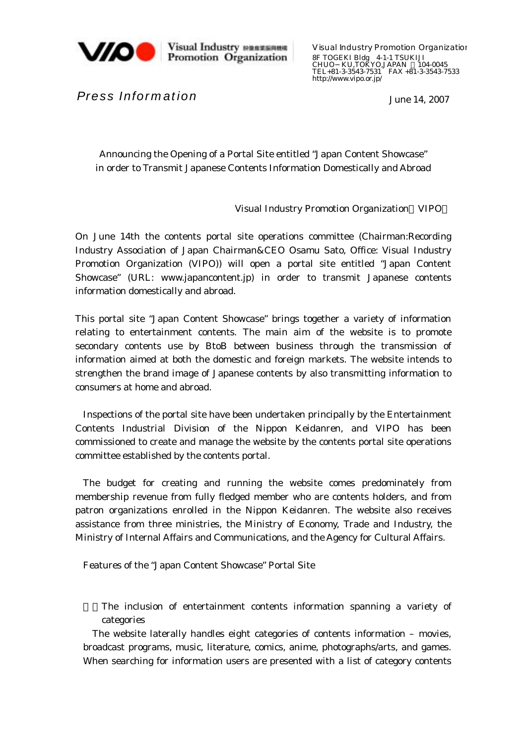

Visual Industry RESERER<br>Promotion Organization

Visual Industry Promotion Organization 8F TOGEKI Bldg 4-1-1 TSUKIJI CHUO KU,TOKYO,JAPAN 104-0045 TEL+81-3-3543-7531 FAX +81-3-3543-7533 http://www.vipo.or.jp/

June 14, 2007

*Press Information* 

Announcing the Opening of a Portal Site entitled "Japan Content Showcase" in order to Transmit Japanese Contents Information Domestically and Abroad

Visual Industry Promotion Organization VIPO

On June 14th the contents portal site operations committee (Chairman:Recording Industry Association of Japan Chairman&CEO Osamu Sato, Office: Visual Industry Promotion Organization (VIPO)) will open a portal site entitled "Japan Content Showcase" (URL: www.japancontent.jp) in order to transmit Japanese contents information domestically and abroad.

This portal site "Japan Content Showcase" brings together a variety of information relating to entertainment contents. The main aim of the website is to promote secondary contents use by BtoB between business through the transmission of information aimed at both the domestic and foreign markets. The website intends to strengthen the brand image of Japanese contents by also transmitting information to consumers at home and abroad.

Inspections of the portal site have been undertaken principally by the Entertainment Contents Industrial Division of the Nippon Keidanren, and VIPO has been commissioned to create and manage the website by the contents portal site operations committee established by the contents portal.

The budget for creating and running the website comes predominately from membership revenue from fully fledged member who are contents holders, and from patron organizations enrolled in the Nippon Keidanren. The website also receives assistance from three ministries, the Ministry of Economy, Trade and Industry, the Ministry of Internal Affairs and Communications, and the Agency for Cultural Affairs.

Features of the "Japan Content Showcase" Portal Site

The inclusion of entertainment contents information spanning a variety of categories

The website laterally handles eight categories of contents information – movies, broadcast programs, music, literature, comics, anime, photographs/arts, and games. When searching for information users are presented with a list of category contents